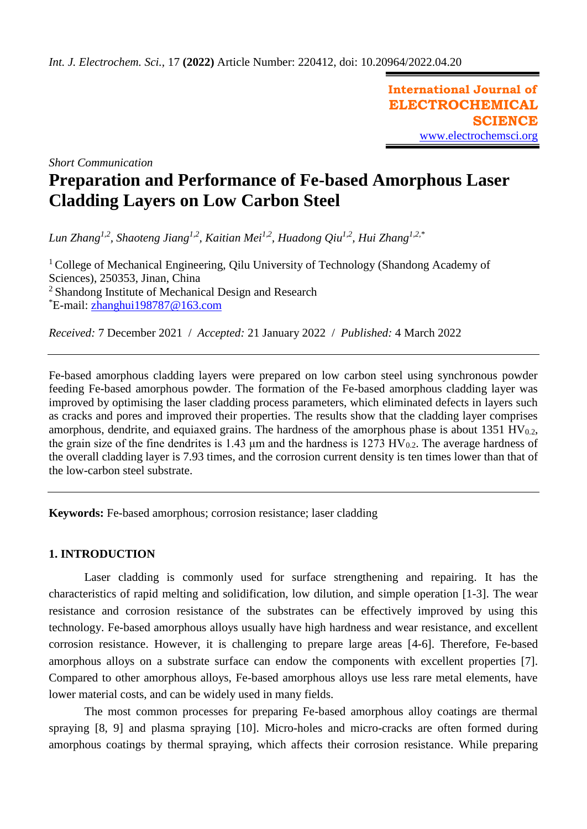**International Journal of ELECTROCHEMICAL SCIENCE** [www.electrochemsci.org](http://www.electrochemsci.org/)

*Short Communication*

# **Preparation and Performance of Fe-based Amorphous Laser Cladding Layers on Low Carbon Steel**

*Lun Zhang1,2, Shaoteng Jiang1,2, Kaitian Mei1,2, Huadong Qiu1,2, Hui Zhang1,2,\**

<sup>1</sup> College of Mechanical Engineering, Qilu University of Technology (Shandong Academy of Sciences), 250353, Jinan, China <sup>2</sup> Shandong Institute of Mechanical Design and Research \*E-mail: [zhanghui198787@163.com](mailto:zhanghui198787@163.com)

*Received:* 7 December 2021/ *Accepted:* 21 January 2022 / *Published:* 4 March 2022

Fe-based amorphous cladding layers were prepared on low carbon steel using synchronous powder feeding Fe-based amorphous powder. The formation of the Fe-based amorphous cladding layer was improved by optimising the laser cladding process parameters, which eliminated defects in layers such as cracks and pores and improved their properties. The results show that the cladding layer comprises amorphous, dendrite, and equiaxed grains. The hardness of the amorphous phase is about  $1351 \text{ HV}_{0.2}$ , the grain size of the fine dendrites is 1.43  $\mu$ m and the hardness is 1273 HV<sub>0.2</sub>. The average hardness of the overall cladding layer is 7.93 times, and the corrosion current density is ten times lower than that of the low-carbon steel substrate.

**Keywords:** Fe-based amorphous; corrosion resistance; laser cladding

## **1. INTRODUCTION**

Laser cladding is commonly used for surface strengthening and repairing. It has the characteristics of rapid melting and solidification, low dilution, and simple operation [1-3]. The wear resistance and corrosion resistance of the substrates can be effectively improved by using this technology. Fe-based amorphous alloys usually have high hardness and wear resistance, and excellent corrosion resistance. However, it is challenging to prepare large areas [4-6]. Therefore, Fe-based amorphous alloys on a substrate surface can endow the components with excellent properties [7]. Compared to other amorphous alloys, Fe-based amorphous alloys use less rare metal elements, have lower material costs, and can be widely used in many fields.

The most common processes for preparing Fe-based amorphous alloy coatings are thermal spraying [8, 9] and plasma spraying [10]. Micro-holes and micro-cracks are often formed during amorphous coatings by thermal spraying, which affects their corrosion resistance. While preparing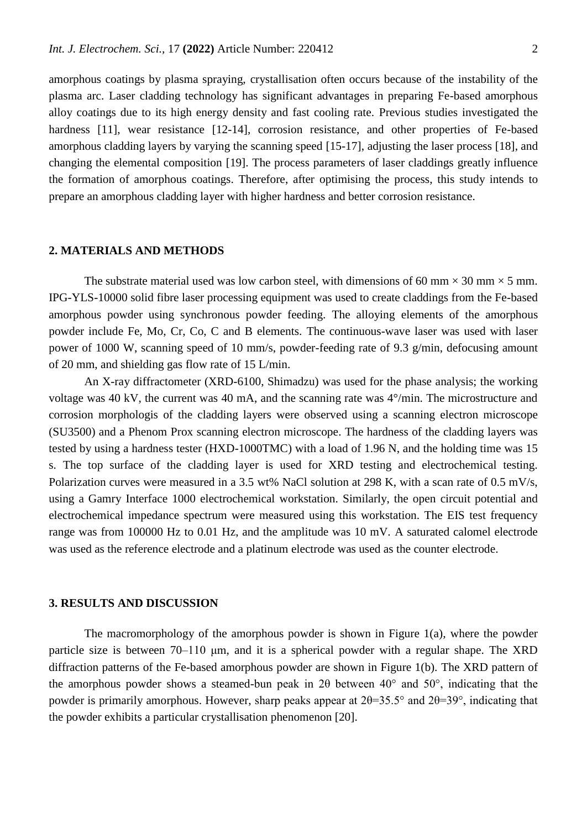amorphous coatings by plasma spraying, crystallisation often occurs because of the instability of the plasma arc. Laser cladding technology has significant advantages in preparing Fe-based amorphous alloy coatings due to its high energy density and fast cooling rate. Previous studies investigated the hardness [11], wear resistance [12-14], corrosion resistance, and other properties of Fe-based amorphous cladding layers by varying the scanning speed [15-17], adjusting the laser process [18], and changing the elemental composition [19]. The process parameters of laser claddings greatly influence the formation of amorphous coatings. Therefore, after optimising the process, this study intends to prepare an amorphous cladding layer with higher hardness and better corrosion resistance.

#### **2. MATERIALS AND METHODS**

The substrate material used was low carbon steel, with dimensions of 60 mm  $\times$  30 mm  $\times$  5 mm. IPG-YLS-10000 solid fibre laser processing equipment was used to create claddings from the Fe-based amorphous powder using synchronous powder feeding. The alloying elements of the amorphous powder include Fe, Mo, Cr, Co, C and B elements. The continuous-wave laser was used with laser power of 1000 W, scanning speed of 10 mm/s, powder-feeding rate of 9.3 g/min, defocusing amount of 20 mm, and shielding gas flow rate of 15 L/min.

An X-ray diffractometer (XRD-6100, Shimadzu) was used for the phase analysis; the working voltage was 40 kV, the current was 40 mA, and the scanning rate was 4°/min. The microstructure and corrosion morphologis of the cladding layers were observed using a scanning electron microscope (SU3500) and a Phenom Prox scanning electron microscope. The hardness of the cladding layers was tested by using a hardness tester (HXD-1000TMC) with a load of 1.96 N, and the holding time was 15 s. The top surface of the cladding layer is used for XRD testing and electrochemical testing. Polarization curves were measured in a 3.5 wt% NaCl solution at 298 K, with a scan rate of 0.5 mV/s, using a Gamry Interface 1000 electrochemical workstation. Similarly, the open circuit potential and electrochemical impedance spectrum were measured using this workstation. The EIS test frequency range was from 100000 Hz to 0.01 Hz, and the amplitude was 10 mV. A saturated calomel electrode was used as the reference electrode and a platinum electrode was used as the counter electrode.

#### **3. RESULTS AND DISCUSSION**

The macromorphology of the amorphous powder is shown in Figure 1(a), where the powder particle size is between 70–110 μm, and it is a spherical powder with a regular shape. The XRD diffraction patterns of the Fe-based amorphous powder are shown in Figure 1(b). The XRD pattern of the amorphous powder shows a steamed-bun peak in 2θ between 40° and 50°, indicating that the powder is primarily amorphous. However, sharp peaks appear at  $2\theta = 35.5^{\circ}$  and  $2\theta = 39^{\circ}$ , indicating that the powder exhibits a particular crystallisation phenomenon [20].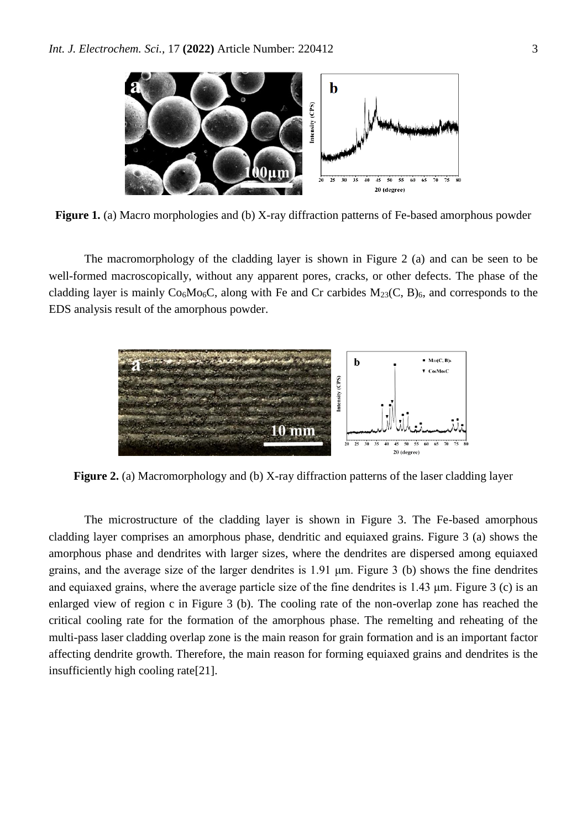

**Figure 1.** (a) Macro morphologies and (b) X-ray diffraction patterns of Fe-based amorphous powder

The macromorphology of the cladding layer is shown in Figure 2 (a) and can be seen to be well-formed macroscopically, without any apparent pores, cracks, or other defects. The phase of the cladding layer is mainly  $Co_6Mo_6C$ , along with Fe and Cr carbides  $M_{23}(C, B)_6$ , and corresponds to the EDS analysis result of the amorphous powder.



**Figure 2.** (a) Macromorphology and (b) X-ray diffraction patterns of the laser cladding layer

The microstructure of the cladding layer is shown in Figure 3. The Fe-based amorphous cladding layer comprises an amorphous phase, dendritic and equiaxed grains. Figure 3 (a) shows the amorphous phase and dendrites with larger sizes, where the dendrites are dispersed among equiaxed grains, and the average size of the larger dendrites is 1.91 μm. Figure 3 (b) shows the fine dendrites and equiaxed grains, where the average particle size of the fine dendrites is 1.43 μm. Figure 3 (c) is an enlarged view of region c in Figure 3 (b). The cooling rate of the non-overlap zone has reached the critical cooling rate for the formation of the amorphous phase. The remelting and reheating of the multi-pass laser cladding overlap zone is the main reason for grain formation and is an important factor affecting dendrite growth. Therefore, the main reason for forming equiaxed grains and dendrites is the insufficiently high cooling rate[21].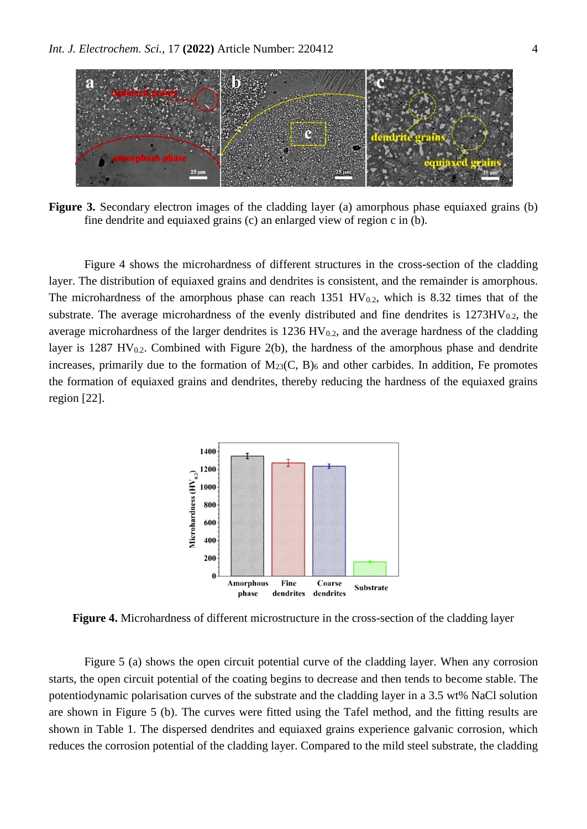

**Figure 3.** Secondary electron images of the cladding layer (a) amorphous phase equiaxed grains (b) fine dendrite and equiaxed grains (c) an enlarged view of region c in (b).

Figure 4 shows the microhardness of different structures in the cross-section of the cladding layer. The distribution of equiaxed grains and dendrites is consistent, and the remainder is amorphous. The microhardness of the amorphous phase can reach 1351 HV $_{0.2}$ , which is 8.32 times that of the substrate. The average microhardness of the evenly distributed and fine dendrites is  $1273HV_{0.2}$ , the average microhardness of the larger dendrites is  $1236 \text{ HV}_{0.2}$ , and the average hardness of the cladding layer is 1287 HV $_{0.2}$ . Combined with Figure 2(b), the hardness of the amorphous phase and dendrite increases, primarily due to the formation of  $M_{23}(C, B)_6$  and other carbides. In addition, Fe promotes the formation of equiaxed grains and dendrites, thereby reducing the hardness of the equiaxed grains region [22].



**Figure 4.** Microhardness of different microstructure in the cross-section of the cladding layer

Figure 5 (a) shows the open circuit potential curve of the cladding layer. When any corrosion starts, the open circuit potential of the coating begins to decrease and then tends to become stable. The potentiodynamic polarisation curves of the substrate and the cladding layer in a 3.5 wt% NaCl solution are shown in Figure 5 (b). The curves were fitted using the Tafel method, and the fitting results are shown in Table 1. The dispersed dendrites and equiaxed grains experience galvanic corrosion, which reduces the corrosion potential of the cladding layer. Compared to the mild steel substrate, the cladding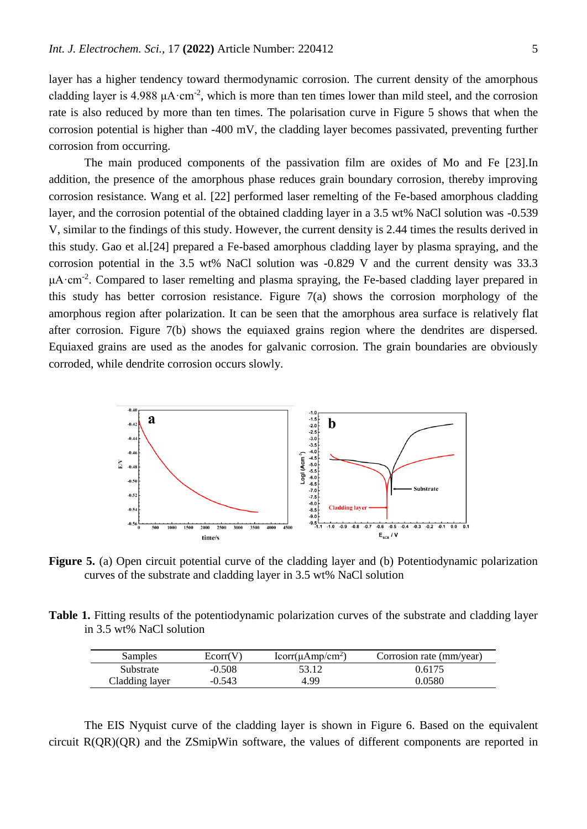layer has a higher tendency toward thermodynamic corrosion. The current density of the amorphous cladding layer is 4.988  $\mu$ A·cm<sup>-2</sup>, which is more than ten times lower than mild steel, and the corrosion rate is also reduced by more than ten times. The polarisation curve in Figure 5 shows that when the corrosion potential is higher than -400 mV, the cladding layer becomes passivated, preventing further corrosion from occurring.

The main produced components of the passivation film are oxides of Mo and Fe [23].In addition, the presence of the amorphous phase reduces grain boundary corrosion, thereby improving corrosion resistance. Wang et al. [22] performed laser remelting of the Fe-based amorphous cladding layer, and the corrosion potential of the obtained cladding layer in a 3.5 wt% NaCl solution was -0.539 V, similar to the findings of this study. However, the current density is 2.44 times the results derived in this study. Gao et al.[24] prepared a Fe-based amorphous cladding layer by plasma spraying, and the corrosion potential in the 3.5 wt% NaCl solution was -0.829 V and the current density was 33.3  $\mu$ A·cm<sup>-2</sup>. Compared to laser remelting and plasma spraying, the Fe-based cladding layer prepared in this study has better corrosion resistance. Figure 7(a) shows the corrosion morphology of the amorphous region after polarization. It can be seen that the amorphous area surface is relatively flat after corrosion. Figure 7(b) shows the equiaxed grains region where the dendrites are dispersed. Equiaxed grains are used as the anodes for galvanic corrosion. The grain boundaries are obviously corroded, while dendrite corrosion occurs slowly.



**Figure 5.** (a) Open circuit potential curve of the cladding layer and (b) Potentiodynamic polarization curves of the substrate and cladding layer in 3.5 wt% NaCl solution

**Table 1.** Fitting results of the potentiodynamic polarization curves of the substrate and cladding layer in 3.5 wt% NaCl solution

| Samples        | Ecorr(V) | $lcorr(\mu Amp/cm^2)$ | Corrosion rate (mm/year) |
|----------------|----------|-----------------------|--------------------------|
| Substrate      | $-0.508$ | 53.12                 | 0.6175                   |
| Cladding layer | $-0.543$ | 4.99                  | 0.0580                   |

The EIS Nyquist curve of the cladding layer is shown in Figure 6. Based on the equivalent circuit R(QR)(QR) and the ZSmipWin software, the values of different components are reported in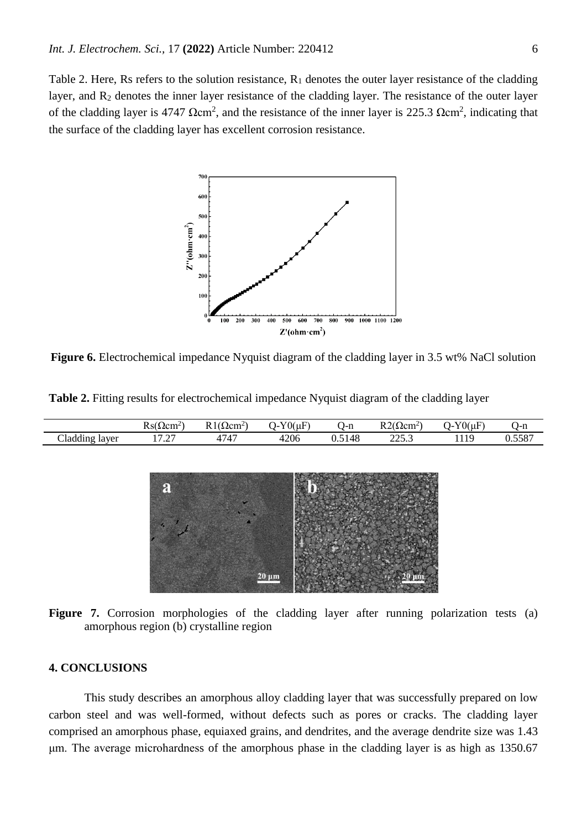Table 2. Here, Rs refers to the solution resistance,  $R_1$  denotes the outer layer resistance of the cladding layer, and R<sup>2</sup> denotes the inner layer resistance of the cladding layer. The resistance of the outer layer of the cladding layer is 4747  $\Omega$ cm<sup>2</sup>, and the resistance of the inner layer is 225.3  $\Omega$ cm<sup>2</sup>, indicating that the surface of the cladding layer has excellent corrosion resistance.



**Figure 6.** Electrochemical impedance Nyquist diagram of the cladding layer in 3.5 wt% NaCl solution

|                                        | $\sim$<br>Rs(12cm <sup>2</sup> )            | $\sim$<br>D 1<br>2cm <sup>2</sup> | $\rightarrow$<br>$70(\mu)$<br>- - | $\mathbf{r}$<br>- 1-li | D <sub>0</sub><br>.Ωcm^                             | $70$ (uF,<br>. . | $\cdot$<br>. J-II |
|----------------------------------------|---------------------------------------------|-----------------------------------|-----------------------------------|------------------------|-----------------------------------------------------|------------------|-------------------|
| $\sim$<br>.<br>$\cup$ ladding<br>layer | $\sim$<br>$\overline{\phantom{0}}$<br>11.41 | $\sqrt{2}$<br>⊶                   | 4206                              | J.J                    | $\mathbf{A} \mathbf{A} \mathbf{F}$<br>22J.J<br>____ | 10<br>           | $-0-1$<br>u.jjo   |

**Table 2.** Fitting results for electrochemical impedance Nyquist diagram of the cladding layer



20 µm

#### **4. CONCLUSIONS**

ี่ยิ

This study describes an amorphous alloy cladding layer that was successfully prepared on low carbon steel and was well-formed, without defects such as pores or cracks. The cladding layer comprised an amorphous phase, equiaxed grains, and dendrites, and the average dendrite size was 1.43 μm. The average microhardness of the amorphous phase in the cladding layer is as high as 1350.67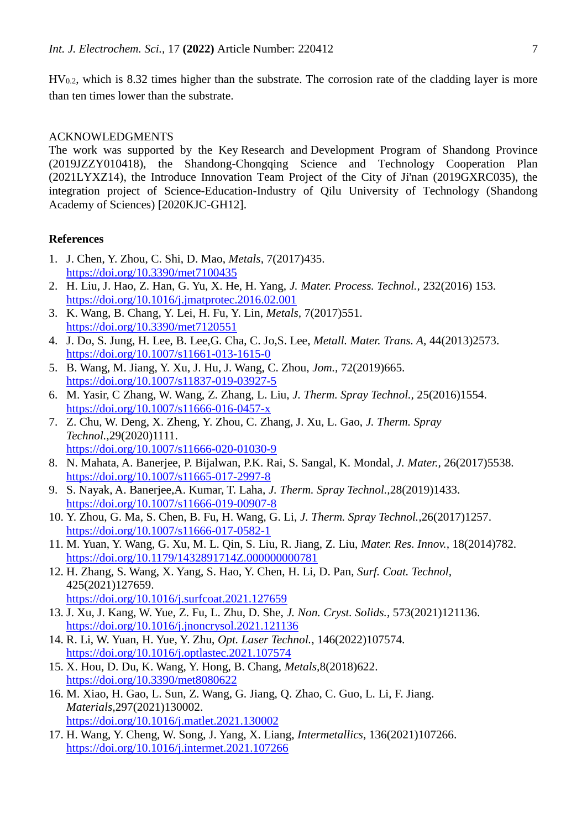$HV_{0,2}$ , which is 8.32 times higher than the substrate. The corrosion rate of the cladding layer is more than ten times lower than the substrate.

### ACKNOWLEDGMENTS

The work was supported by the Key Research and Development Program of Shandong Province (2019JZZY010418), the Shandong-Chongqing Science and Technology Cooperation Plan (2021LYXZ14), the Introduce Innovation Team Project of the City of Ji'nan (2019GXRC035), the integration project of Science-Education-Industry of Qilu University of Technology (Shandong Academy of Sciences) [2020KJC-GH12].

#### **References**

- 1. J. Chen, Y. Zhou, C. Shi, D. Mao, *Metals,* 7(2017)435. <https://doi.org/10.3390/met7100435>
- 2. H. Liu, J. Hao, Z. Han, G. Yu, X. He, H. Yang, *J. Mater. Process. Technol.,* 232(2016) 153. <https://doi.org/10.1016/j.jmatprotec.2016.02.001>
- 3. K. Wang, B. Chang, Y. Lei, H. Fu, Y. Lin, *Metals,* 7(2017)551. <https://doi.org/10.3390/met7120551>
- 4. J. Do, S. Jung, H. Lee, B. Lee,G. Cha, C. Jo,S. Lee, *Metall. Mater. Trans. A,* 44(2013)2573. <https://doi.org/10.1007/s11661-013-1615-0>
- 5. B. Wang, M. Jiang, Y. Xu, J. Hu, J. Wang, C. Zhou, *Jom.,* 72(2019)665. <https://doi.org/10.1007/s11837-019-03927-5>
- 6. M. Yasir, C Zhang, W. Wang, Z. Zhang, L. Liu, *J. Therm. Spray Technol.,* 25(2016)1554. <https://doi.org/10.1007/s11666-016-0457-x>
- 7. Z. Chu, W. Deng, X. Zheng, Y. Zhou, C. Zhang, J. Xu, L. Gao, *J. Therm. Spray Technol.,*29(2020)1111. <https://doi.org/10.1007/s11666-020-01030-9>
- 8. N. Mahata, A. Banerjee, P. Bijalwan, P.K. Rai, S. Sangal, K. Mondal, *J. Mater.,* 26(2017)5538. <https://doi.org/10.1007/s11665-017-2997-8>
- 9. S. Nayak, A. Banerjee,A. Kumar, T. Laha, *J. Therm. Spray Technol.,*28(2019)1433. <https://doi.org/10.1007/s11666-019-00907-8>
- 10. Y. Zhou, G. Ma, S. Chen, B. Fu, H. Wang, G. Li, *J. Therm. Spray Technol.,*26(2017)1257. <https://doi.org/10.1007/s11666-017-0582-1>
- 11. M. Yuan, Y. Wang, G. Xu, M. L. Qin, S. Liu, R. Jiang, Z. Liu, *Mater. Res. Innov.,* 18(2014)782. <https://doi.org/10.1179/1432891714Z.000000000781>
- 12. H. Zhang, S. Wang, X. Yang, S. Hao, Y. Chen, H. Li, D. Pan, *Surf. Coat. Technol,* 425(2021)127659. <https://doi.org/10.1016/j.surfcoat.2021.127659>
- 13. J. Xu, J. Kang, W. Yue, Z. Fu, L. Zhu, D. She, *J. Non. Cryst. Solids.,* 573(2021)121136. <https://doi.org/10.1016/j.jnoncrysol.2021.121136>
- 14. R. Li, W. Yuan, H. Yue, Y. Zhu, *Opt. Laser Technol.*, 146(2022)107574. <https://doi.org/10.1016/j.optlastec.2021.107574>
- 15. X. Hou, D. Du, K. Wang, Y. Hong, B. Chang, *Metals,*8(2018)622. <https://doi.org/10.3390/met8080622>
- 16. M. Xiao, H. Gao, L. Sun, Z. Wang, G. Jiang, Q. Zhao, C. Guo, L. Li, F. Jiang. *Materials,*297(2021)130002. <https://doi.org/10.1016/j.matlet.2021.130002>
- 17. H. Wang, Y. Cheng, W. Song, J. Yang, X. Liang, *Intermetallics*, 136(2021)107266. <https://doi.org/10.1016/j.intermet.2021.107266>